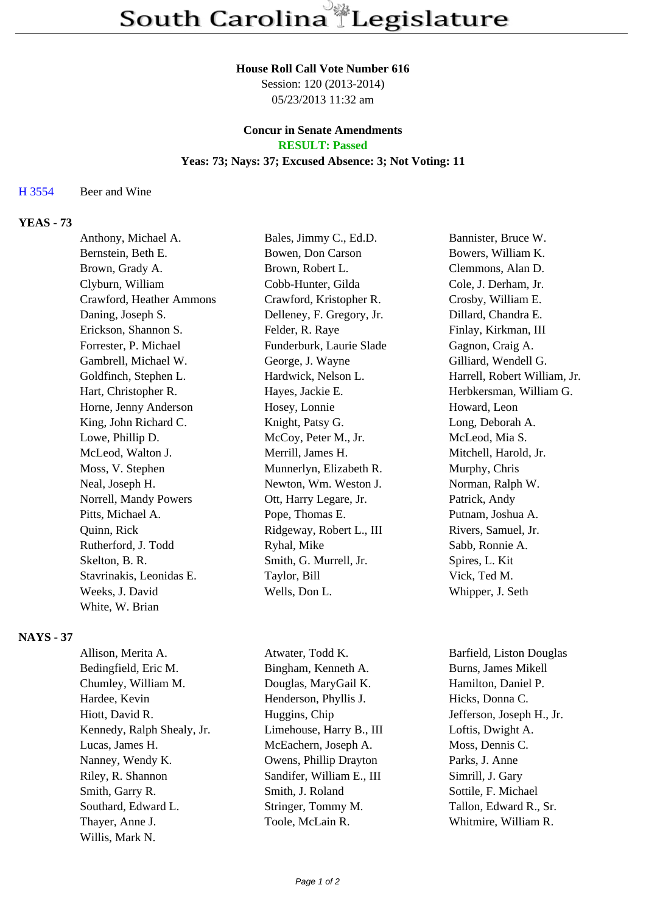#### **House Roll Call Vote Number 616**

Session: 120 (2013-2014) 05/23/2013 11:32 am

# **Concur in Senate Amendments**

# **RESULT: Passed**

## **Yeas: 73; Nays: 37; Excused Absence: 3; Not Voting: 11**

H 3554 Beer and Wine

### **YEAS - 73**

| Anthony, Michael A.      | Bales, Jimmy C., Ed.D.    | Bannister, Bruce W.          |
|--------------------------|---------------------------|------------------------------|
| Bernstein, Beth E.       | Bowen, Don Carson         | Bowers, William K.           |
| Brown, Grady A.          | Brown, Robert L.          | Clemmons, Alan D.            |
| Clyburn, William         | Cobb-Hunter, Gilda        | Cole, J. Derham, Jr.         |
| Crawford, Heather Ammons | Crawford, Kristopher R.   | Crosby, William E.           |
| Daning, Joseph S.        | Delleney, F. Gregory, Jr. | Dillard, Chandra E.          |
| Erickson, Shannon S.     | Felder, R. Raye           | Finlay, Kirkman, III         |
| Forrester, P. Michael    | Funderburk, Laurie Slade  | Gagnon, Craig A.             |
| Gambrell, Michael W.     | George, J. Wayne          | Gilliard, Wendell G.         |
| Goldfinch, Stephen L.    | Hardwick, Nelson L.       | Harrell, Robert William, Jr. |
| Hart, Christopher R.     | Hayes, Jackie E.          | Herbkersman, William G.      |
| Horne, Jenny Anderson    | Hosey, Lonnie             | Howard, Leon                 |
| King, John Richard C.    | Knight, Patsy G.          | Long, Deborah A.             |
| Lowe, Phillip D.         | McCoy, Peter M., Jr.      | McLeod, Mia S.               |
| McLeod, Walton J.        | Merrill, James H.         | Mitchell, Harold, Jr.        |
| Moss, V. Stephen         | Munnerlyn, Elizabeth R.   | Murphy, Chris                |
| Neal, Joseph H.          | Newton, Wm. Weston J.     | Norman, Ralph W.             |
| Norrell, Mandy Powers    | Ott, Harry Legare, Jr.    | Patrick, Andy                |
| Pitts, Michael A.        | Pope, Thomas E.           | Putnam, Joshua A.            |
| Quinn, Rick              | Ridgeway, Robert L., III  | Rivers, Samuel, Jr.          |
| Rutherford, J. Todd      | Ryhal, Mike               | Sabb, Ronnie A.              |
| Skelton, B. R.           | Smith, G. Murrell, Jr.    | Spires, L. Kit               |
| Stavrinakis, Leonidas E. | Taylor, Bill              | Vick, Ted M.                 |
| Weeks, J. David          | Wells, Don L.             | Whipper, J. Seth             |
| White, W. Brian          |                           |                              |

#### **NAYS - 37**

| Allison, Merita A.         | Atwater, Todd K.          | Barfield, Liston Douglas  |
|----------------------------|---------------------------|---------------------------|
| Bedingfield, Eric M.       | Bingham, Kenneth A.       | Burns, James Mikell       |
| Chumley, William M.        | Douglas, MaryGail K.      | Hamilton, Daniel P.       |
| Hardee, Kevin              | Henderson, Phyllis J.     | Hicks, Donna C.           |
| Hiott, David R.            | Huggins, Chip             | Jefferson, Joseph H., Jr. |
| Kennedy, Ralph Shealy, Jr. | Limehouse, Harry B., III  | Loftis, Dwight A.         |
| Lucas, James H.            | McEachern, Joseph A.      | Moss, Dennis C.           |
| Nanney, Wendy K.           | Owens, Phillip Drayton    | Parks, J. Anne            |
| Riley, R. Shannon          | Sandifer, William E., III | Simrill, J. Gary          |
| Smith, Garry R.            | Smith, J. Roland          | Sottile, F. Michael       |
| Southard, Edward L.        | Stringer, Tommy M.        | Tallon, Edward R., Sr.    |
| Thayer, Anne J.            | Toole, McLain R.          | Whitmire, William R.      |
| Willis, Mark N.            |                           |                           |